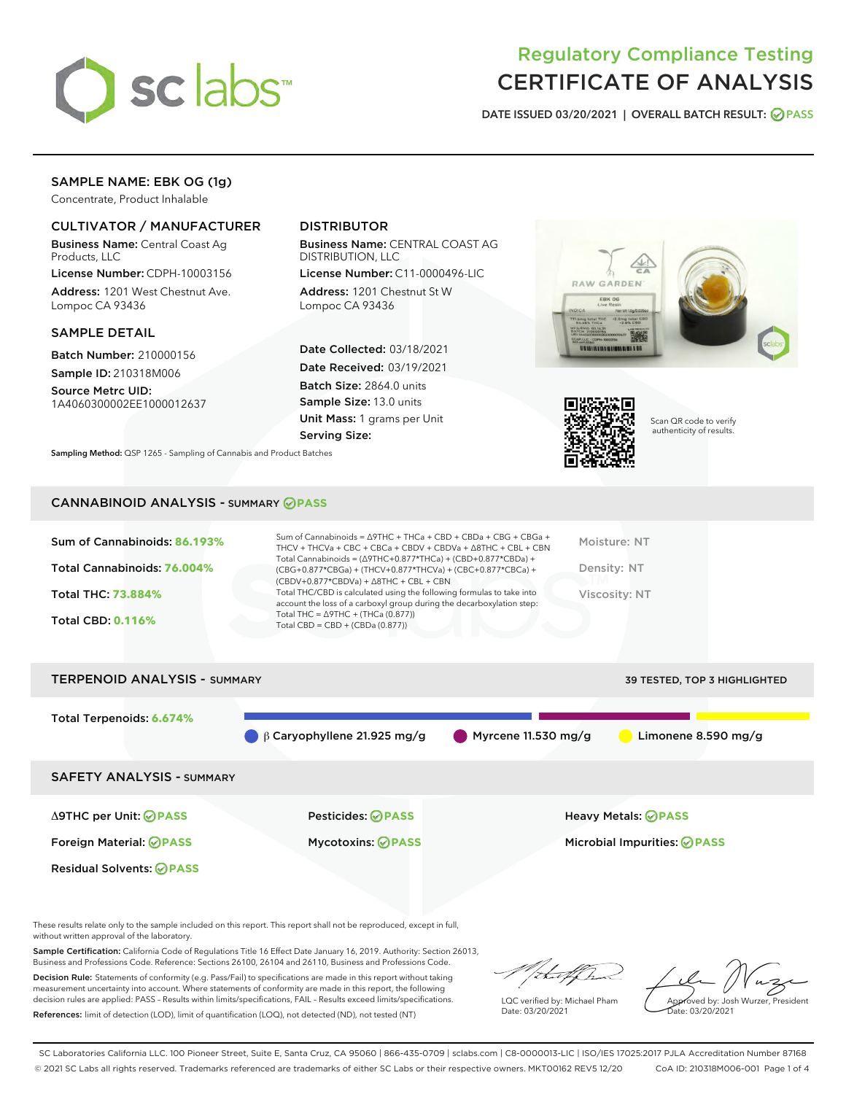

# Regulatory Compliance Testing CERTIFICATE OF ANALYSIS

DATE ISSUED 03/20/2021 | OVERALL BATCH RESULT: @ PASS

# SAMPLE NAME: EBK OG (1g)

Concentrate, Product Inhalable

# CULTIVATOR / MANUFACTURER

Business Name: Central Coast Ag Products, LLC

License Number: CDPH-10003156 Address: 1201 West Chestnut Ave. Lompoc CA 93436

## SAMPLE DETAIL

Batch Number: 210000156 Sample ID: 210318M006

Source Metrc UID: 1A4060300002EE1000012637

# DISTRIBUTOR

Business Name: CENTRAL COAST AG DISTRIBUTION, LLC

License Number: C11-0000496-LIC Address: 1201 Chestnut St W Lompoc CA 93436

Date Collected: 03/18/2021 Date Received: 03/19/2021 Batch Size: 2864.0 units Sample Size: 13.0 units Unit Mass: 1 grams per Unit Serving Size:





Scan QR code to verify authenticity of results.

Sampling Method: QSP 1265 - Sampling of Cannabis and Product Batches

# CANNABINOID ANALYSIS - SUMMARY **PASS**

| Sum of Cannabinoids: 86.193%<br>Total Cannabinoids: 76.004% | Sum of Cannabinoids = $\triangle$ 9THC + THCa + CBD + CBDa + CBG + CBGa +<br>THCV + THCVa + CBC + CBCa + CBDV + CBDVa + $\Delta$ 8THC + CBL + CBN<br>Total Cannabinoids = $(\Delta$ 9THC+0.877*THCa) + (CBD+0.877*CBDa) +<br>(CBG+0.877*CBGa) + (THCV+0.877*THCVa) + (CBC+0.877*CBCa) +<br>$(CBDV+0.877*CBDVa) + \Delta 8THC + CBL + CBN$ | Moisture: NT<br>Density: NT |
|-------------------------------------------------------------|-------------------------------------------------------------------------------------------------------------------------------------------------------------------------------------------------------------------------------------------------------------------------------------------------------------------------------------------|-----------------------------|
| <b>Total THC: 73.884%</b>                                   | Total THC/CBD is calculated using the following formulas to take into<br>account the loss of a carboxyl group during the decarboxylation step:                                                                                                                                                                                            | Viscosity: NT               |
| <b>Total CBD: 0.116%</b>                                    | Total THC = $\triangle$ 9THC + (THCa (0.877))<br>Total CBD = $CBD + (CBDa (0.877))$                                                                                                                                                                                                                                                       |                             |
|                                                             |                                                                                                                                                                                                                                                                                                                                           |                             |

# TERPENOID ANALYSIS - SUMMARY 39 TESTED, TOP 3 HIGHLIGHTED Total Terpenoids: **6.674%** β Caryophyllene 21.925 mg/g Myrcene 11.530 mg/g Limonene 8.590 mg/g SAFETY ANALYSIS - SUMMARY Δ9THC per Unit: **PASS** Pesticides: **PASS** Heavy Metals: **PASS** Foreign Material: **PASS** Mycotoxins: **PASS** Microbial Impurities: **PASS** Residual Solvents: **PASS**

These results relate only to the sample included on this report. This report shall not be reproduced, except in full, without written approval of the laboratory.

Sample Certification: California Code of Regulations Title 16 Effect Date January 16, 2019. Authority: Section 26013, Business and Professions Code. Reference: Sections 26100, 26104 and 26110, Business and Professions Code.

Decision Rule: Statements of conformity (e.g. Pass/Fail) to specifications are made in this report without taking measurement uncertainty into account. Where statements of conformity are made in this report, the following decision rules are applied: PASS – Results within limits/specifications, FAIL – Results exceed limits/specifications. References: limit of detection (LOD), limit of quantification (LOQ), not detected (ND), not tested (NT)

that for

LQC verified by: Michael Pham Date: 03/20/2021

Approved by: Josh Wurzer, President ate: 03/20/2021

SC Laboratories California LLC. 100 Pioneer Street, Suite E, Santa Cruz, CA 95060 | 866-435-0709 | sclabs.com | C8-0000013-LIC | ISO/IES 17025:2017 PJLA Accreditation Number 87168 © 2021 SC Labs all rights reserved. Trademarks referenced are trademarks of either SC Labs or their respective owners. MKT00162 REV5 12/20 CoA ID: 210318M006-001 Page 1 of 4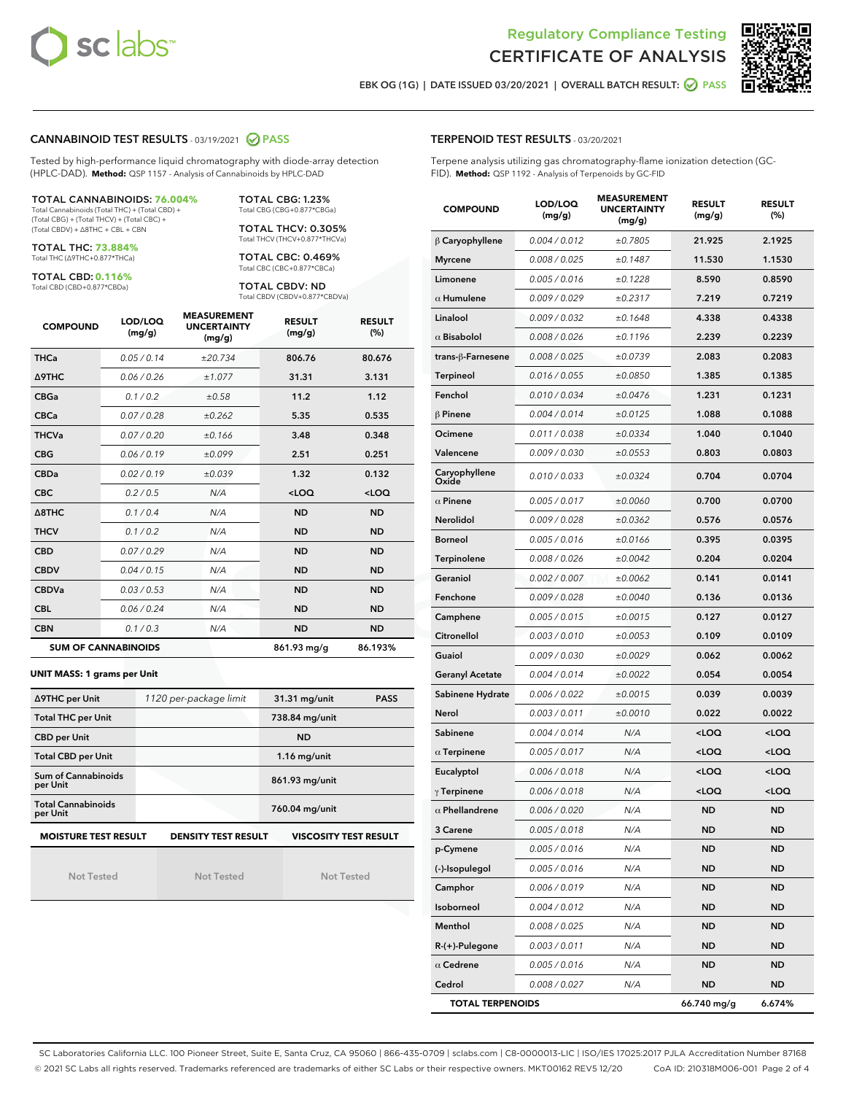



EBK OG (1G) | DATE ISSUED 03/20/2021 | OVERALL BATCH RESULT: 2 PASS

### CANNABINOID TEST RESULTS - 03/19/2021 2 PASS

Tested by high-performance liquid chromatography with diode-array detection (HPLC-DAD). **Method:** QSP 1157 - Analysis of Cannabinoids by HPLC-DAD

# TOTAL CANNABINOIDS: **76.004%**

Total Cannabinoids (Total THC) + (Total CBD) + (Total CBG) + (Total THCV) + (Total CBC) + (Total CBDV) + ∆8THC + CBL + CBN

TOTAL THC: **73.884%** Total THC (∆9THC+0.877\*THCa)

TOTAL CBD: **0.116%**

Total CBD (CBD+0.877\*CBDa)

TOTAL CBG: 1.23% Total CBG (CBG+0.877\*CBGa)

TOTAL THCV: 0.305% Total THCV (THCV+0.877\*THCVa)

TOTAL CBC: 0.469% Total CBC (CBC+0.877\*CBCa)

TOTAL CBDV: ND Total CBDV (CBDV+0.877\*CBDVa)

| <b>COMPOUND</b>  | LOD/LOQ<br>(mg/g)          | <b>MEASUREMENT</b><br><b>UNCERTAINTY</b><br>(mg/g) | <b>RESULT</b><br>(mg/g) | <b>RESULT</b><br>(%) |
|------------------|----------------------------|----------------------------------------------------|-------------------------|----------------------|
| <b>THCa</b>      | 0.05/0.14                  | ±20.734                                            | 806.76                  | 80.676               |
| <b>A9THC</b>     | 0.06 / 0.26                | ±1.077                                             | 31.31                   | 3.131                |
| <b>CBGa</b>      | 0.1 / 0.2                  | ±0.58                                              | 11.2                    | 1.12                 |
| <b>CBCa</b>      | 0.07 / 0.28                | ±0.262                                             | 5.35                    | 0.535                |
| <b>THCVa</b>     | 0.07/0.20                  | ±0.166                                             | 3.48                    | 0.348                |
| <b>CBG</b>       | 0.06/0.19                  | ±0.099                                             | 2.51                    | 0.251                |
| <b>CBDa</b>      | 0.02/0.19                  | ±0.039                                             | 1.32                    | 0.132                |
| <b>CBC</b>       | 0.2 / 0.5                  | N/A                                                | $<$ LOQ                 | $<$ LOQ              |
| $\triangle$ 8THC | 0.1/0.4                    | N/A                                                | <b>ND</b>               | <b>ND</b>            |
| <b>THCV</b>      | 0.1/0.2                    | N/A                                                | <b>ND</b>               | <b>ND</b>            |
| <b>CBD</b>       | 0.07/0.29                  | N/A                                                | <b>ND</b>               | <b>ND</b>            |
| <b>CBDV</b>      | 0.04/0.15                  | N/A                                                | <b>ND</b>               | <b>ND</b>            |
| <b>CBDVa</b>     | 0.03/0.53                  | N/A                                                | <b>ND</b>               | <b>ND</b>            |
| <b>CBL</b>       | 0.06 / 0.24                | N/A                                                | <b>ND</b>               | <b>ND</b>            |
| <b>CBN</b>       | 0.1/0.3                    | N/A                                                | <b>ND</b>               | <b>ND</b>            |
|                  | <b>SUM OF CANNABINOIDS</b> |                                                    | 861.93 mg/g             | 86.193%              |

#### **UNIT MASS: 1 grams per Unit**

| ∆9THC per Unit                        | 1120 per-package limit     | <b>PASS</b><br>31.31 mg/unit |
|---------------------------------------|----------------------------|------------------------------|
| <b>Total THC per Unit</b>             |                            | 738.84 mg/unit               |
| <b>CBD per Unit</b>                   |                            | <b>ND</b>                    |
| <b>Total CBD per Unit</b>             |                            | $1.16$ mg/unit               |
| Sum of Cannabinoids<br>per Unit       |                            | 861.93 mg/unit               |
| <b>Total Cannabinoids</b><br>per Unit |                            | 760.04 mg/unit               |
| <b>MOISTURE TEST RESULT</b>           | <b>DENSITY TEST RESULT</b> | <b>VISCOSITY TEST RESULT</b> |

Not Tested

Not Tested

Not Tested

| <b>TERPENOID TEST RESULTS - 03/20/2021</b>                                    |
|-------------------------------------------------------------------------------|
| Terpene analysis utilizing gas chromatography-flame ionization detection (GC- |
| FID). Method: QSP 1192 - Analysis of Terpenoids by GC-FID                     |

| <b>COMPOUND</b>         | LOD/LOQ<br>(mg/g) | <b>MEASUREMENT</b><br><b>UNCERTAINTY</b><br>(mg/g) | <b>RESULT</b><br>(mg/g)                         | <b>RESULT</b><br>(%) |
|-------------------------|-------------------|----------------------------------------------------|-------------------------------------------------|----------------------|
| $\beta$ Caryophyllene   | 0.004 / 0.012     | ±0.7805                                            | 21.925                                          | 2.1925               |
| <b>Myrcene</b>          | 0.008 / 0.025     | ±0.1487                                            | 11.530                                          | 1.1530               |
| Limonene                | 0.005 / 0.016     | ±0.1228                                            | 8.590                                           | 0.8590               |
| $\alpha$ Humulene       | 0.009 / 0.029     | ±0.2317                                            | 7.219                                           | 0.7219               |
| Linalool                | 0.009 / 0.032     | ±0.1648                                            | 4.338                                           | 0.4338               |
| $\alpha$ Bisabolol      | 0.008 / 0.026     | ±0.1196                                            | 2.239                                           | 0.2239               |
| trans-β-Farnesene       | 0.008 / 0.025     | ±0.0739                                            | 2.083                                           | 0.2083               |
| Terpineol               | 0.016 / 0.055     | ±0.0850                                            | 1.385                                           | 0.1385               |
| Fenchol                 | 0.010 / 0.034     | ±0.0476                                            | 1.231                                           | 0.1231               |
| <b>β Pinene</b>         | 0.004 / 0.014     | ±0.0125                                            | 1.088                                           | 0.1088               |
| Ocimene                 | 0.011 / 0.038     | ±0.0334                                            | 1.040                                           | 0.1040               |
| Valencene               | 0.009 / 0.030     | ±0.0553                                            | 0.803                                           | 0.0803               |
| Caryophyllene<br>Oxide  | 0.010 / 0.033     | ±0.0324                                            | 0.704                                           | 0.0704               |
| $\alpha$ Pinene         | 0.005 / 0.017     | ±0.0060                                            | 0.700                                           | 0.0700               |
| <b>Nerolidol</b>        | 0.009 / 0.028     | ±0.0362                                            | 0.576                                           | 0.0576               |
| <b>Borneol</b>          | 0.005 / 0.016     | ±0.0166                                            | 0.395                                           | 0.0395               |
| Terpinolene             | 0.008 / 0.026     | ±0.0042                                            | 0.204                                           | 0.0204               |
| Geraniol                | 0.002 / 0.007     | ±0.0062                                            | 0.141                                           | 0.0141               |
| Fenchone                | 0.009 / 0.028     | ±0.0040                                            | 0.136                                           | 0.0136               |
| Camphene                | 0.005 / 0.015     | ±0.0015                                            | 0.127                                           | 0.0127               |
| Citronellol             | 0.003 / 0.010     | ±0.0053                                            | 0.109                                           | 0.0109               |
| Guaiol                  | 0.009 / 0.030     | ±0.0029                                            | 0.062                                           | 0.0062               |
| <b>Geranyl Acetate</b>  | 0.004 / 0.014     | ±0.0022                                            | 0.054                                           | 0.0054               |
| Sabinene Hydrate        | 0.006 / 0.022     | ±0.0015                                            | 0.039                                           | 0.0039               |
| Nerol                   | 0.003 / 0.011     | ±0.0010                                            | 0.022                                           | 0.0022               |
| Sabinene                | 0.004 / 0.014     | N/A                                                | <loq< th=""><th><loq< th=""></loq<></th></loq<> | <loq< th=""></loq<>  |
| $\alpha$ Terpinene      | 0.005 / 0.017     | N/A                                                | <loq< th=""><th><loq< th=""></loq<></th></loq<> | <loq< th=""></loq<>  |
| Eucalyptol              | 0.006 / 0.018     | N/A                                                | <loq< th=""><th><loq< th=""></loq<></th></loq<> | <loq< th=""></loq<>  |
| $\gamma$ Terpinene      | 0.006 / 0.018     | N/A                                                | <loq< th=""><th><loq< th=""></loq<></th></loq<> | <loq< th=""></loq<>  |
| $\alpha$ Phellandrene   | 0.006 / 0.020     | N/A                                                | <b>ND</b>                                       | <b>ND</b>            |
| <b>3 Carene</b>         | 0.005 / 0.018     | N/A                                                | ND                                              | <b>ND</b>            |
| p-Cymene                | 0.005 / 0.016     | N/A                                                | ND                                              | ND                   |
| (-)-Isopulegol          | 0.005 / 0.016     | N/A                                                | <b>ND</b>                                       | <b>ND</b>            |
| Camphor                 | 0.006 / 0.019     | N/A                                                | <b>ND</b>                                       | <b>ND</b>            |
| Isoborneol              | 0.004 / 0.012     | N/A                                                | ND                                              | ND                   |
| Menthol                 | 0.008 / 0.025     | N/A                                                | <b>ND</b>                                       | ND                   |
| R-(+)-Pulegone          | 0.003 / 0.011     | N/A                                                | <b>ND</b>                                       | <b>ND</b>            |
| $\alpha$ Cedrene        | 0.005 / 0.016     | N/A                                                | ND                                              | ND                   |
| Cedrol                  | 0.008 / 0.027     | N/A                                                | <b>ND</b>                                       | <b>ND</b>            |
| <b>TOTAL TERPENOIDS</b> |                   |                                                    | 66.740 mg/g                                     | 6.674%               |

SC Laboratories California LLC. 100 Pioneer Street, Suite E, Santa Cruz, CA 95060 | 866-435-0709 | sclabs.com | C8-0000013-LIC | ISO/IES 17025:2017 PJLA Accreditation Number 87168 © 2021 SC Labs all rights reserved. Trademarks referenced are trademarks of either SC Labs or their respective owners. MKT00162 REV5 12/20 CoA ID: 210318M006-001 Page 2 of 4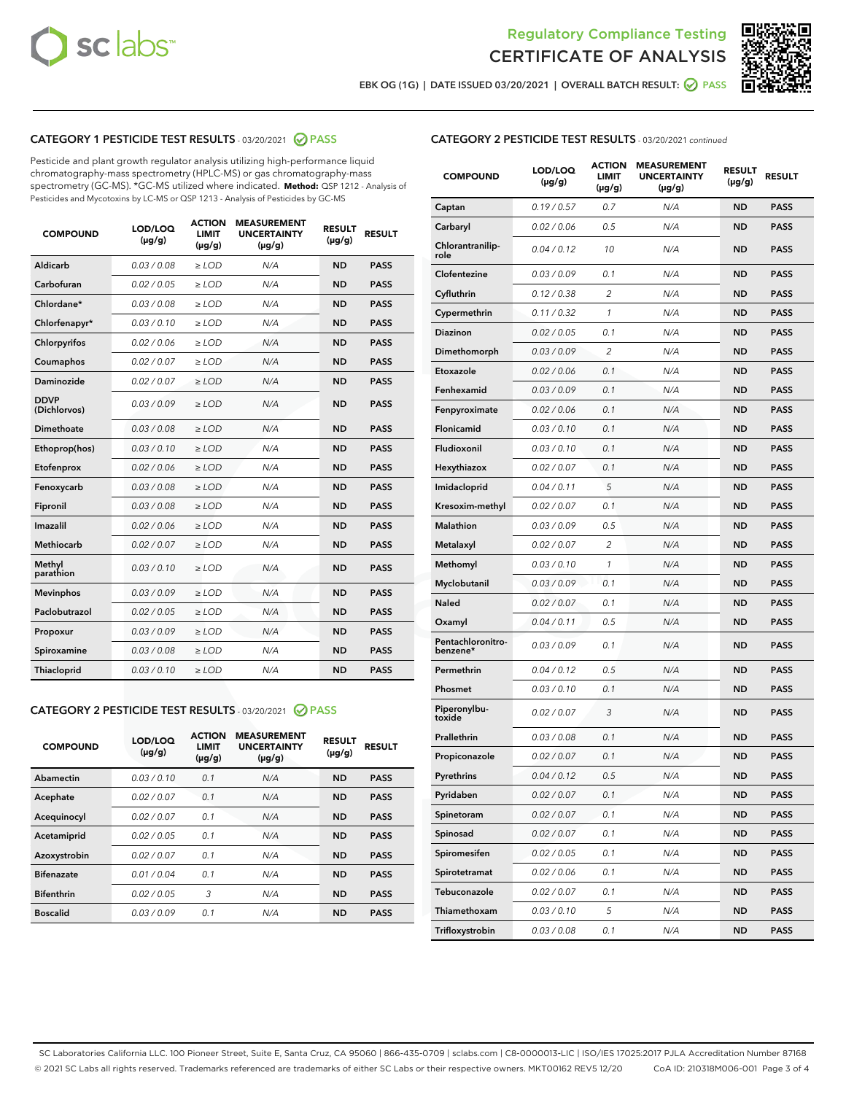



EBK OG (1G) | DATE ISSUED 03/20/2021 | OVERALL BATCH RESULT: O PASS

# CATEGORY 1 PESTICIDE TEST RESULTS - 03/20/2021 2 PASS

Pesticide and plant growth regulator analysis utilizing high-performance liquid chromatography-mass spectrometry (HPLC-MS) or gas chromatography-mass spectrometry (GC-MS). \*GC-MS utilized where indicated. **Method:** QSP 1212 - Analysis of Pesticides and Mycotoxins by LC-MS or QSP 1213 - Analysis of Pesticides by GC-MS

| <b>COMPOUND</b>             | LOD/LOQ<br>$(\mu g/g)$ | <b>ACTION</b><br>LIMIT<br>$(\mu g/g)$ | <b>MEASUREMENT</b><br><b>UNCERTAINTY</b><br>$(\mu g/g)$ | <b>RESULT</b><br>$(\mu g/g)$ | <b>RESULT</b> |
|-----------------------------|------------------------|---------------------------------------|---------------------------------------------------------|------------------------------|---------------|
| Aldicarb                    | 0.03 / 0.08            | $\ge$ LOD                             | N/A                                                     | <b>ND</b>                    | <b>PASS</b>   |
| Carbofuran                  | 0.02 / 0.05            | $\ge$ LOD                             | N/A                                                     | <b>ND</b>                    | <b>PASS</b>   |
| Chlordane*                  | 0.03 / 0.08            | $\ge$ LOD                             | N/A                                                     | <b>ND</b>                    | <b>PASS</b>   |
| Chlorfenapyr*               | 0.03/0.10              | $\ge$ LOD                             | N/A                                                     | <b>ND</b>                    | <b>PASS</b>   |
| Chlorpyrifos                | 0.02 / 0.06            | $\ge$ LOD                             | N/A                                                     | <b>ND</b>                    | <b>PASS</b>   |
| Coumaphos                   | 0.02 / 0.07            | $\ge$ LOD                             | N/A                                                     | <b>ND</b>                    | <b>PASS</b>   |
| Daminozide                  | 0.02/0.07              | $\ge$ LOD                             | N/A                                                     | <b>ND</b>                    | <b>PASS</b>   |
| <b>DDVP</b><br>(Dichlorvos) | 0.03/0.09              | $\ge$ LOD                             | N/A                                                     | <b>ND</b>                    | <b>PASS</b>   |
| Dimethoate                  | 0.03 / 0.08            | $>$ LOD                               | N/A                                                     | <b>ND</b>                    | <b>PASS</b>   |
| Ethoprop(hos)               | 0.03/0.10              | $\ge$ LOD                             | N/A                                                     | <b>ND</b>                    | <b>PASS</b>   |
| Etofenprox                  | 0.02/0.06              | $>$ LOD                               | N/A                                                     | <b>ND</b>                    | <b>PASS</b>   |
| Fenoxycarb                  | 0.03/0.08              | $>$ LOD                               | N/A                                                     | <b>ND</b>                    | <b>PASS</b>   |
| Fipronil                    | 0.03 / 0.08            | $>$ LOD                               | N/A                                                     | <b>ND</b>                    | <b>PASS</b>   |
| Imazalil                    | 0.02/0.06              | $>$ LOD                               | N/A                                                     | <b>ND</b>                    | <b>PASS</b>   |
| <b>Methiocarb</b>           | 0.02 / 0.07            | $\ge$ LOD                             | N/A                                                     | <b>ND</b>                    | <b>PASS</b>   |
| Methyl<br>parathion         | 0.03/0.10              | $\ge$ LOD                             | N/A                                                     | <b>ND</b>                    | <b>PASS</b>   |
| <b>Mevinphos</b>            | 0.03/0.09              | $\ge$ LOD                             | N/A                                                     | <b>ND</b>                    | <b>PASS</b>   |
| Paclobutrazol               | 0.02 / 0.05            | $\ge$ LOD                             | N/A                                                     | <b>ND</b>                    | <b>PASS</b>   |
| Propoxur                    | 0.03 / 0.09            | $\ge$ LOD                             | N/A                                                     | <b>ND</b>                    | <b>PASS</b>   |
| Spiroxamine                 | 0.03 / 0.08            | $\ge$ LOD                             | N/A                                                     | <b>ND</b>                    | <b>PASS</b>   |
| Thiacloprid                 | 0.03/0.10              | $\ge$ LOD                             | N/A                                                     | <b>ND</b>                    | <b>PASS</b>   |

## CATEGORY 2 PESTICIDE TEST RESULTS - 03/20/2021 @ PASS

| <b>COMPOUND</b>   | LOD/LOQ<br>$(\mu g/g)$ | <b>ACTION</b><br><b>LIMIT</b><br>$(\mu g/g)$ | <b>MEASUREMENT</b><br><b>UNCERTAINTY</b><br>$(\mu g/g)$ | <b>RESULT</b><br>$(\mu g/g)$ | <b>RESULT</b> |
|-------------------|------------------------|----------------------------------------------|---------------------------------------------------------|------------------------------|---------------|
| Abamectin         | 0.03/0.10              | 0.1                                          | N/A                                                     | <b>ND</b>                    | <b>PASS</b>   |
| Acephate          | 0.02/0.07              | 0.1                                          | N/A                                                     | <b>ND</b>                    | <b>PASS</b>   |
| Acequinocyl       | 0.02/0.07              | 0.1                                          | N/A                                                     | <b>ND</b>                    | <b>PASS</b>   |
| Acetamiprid       | 0.02/0.05              | 0.1                                          | N/A                                                     | <b>ND</b>                    | <b>PASS</b>   |
| Azoxystrobin      | 0.02/0.07              | 0.1                                          | N/A                                                     | <b>ND</b>                    | <b>PASS</b>   |
| <b>Bifenazate</b> | 0.01/0.04              | 0.1                                          | N/A                                                     | <b>ND</b>                    | <b>PASS</b>   |
| <b>Bifenthrin</b> | 0.02/0.05              | 3                                            | N/A                                                     | <b>ND</b>                    | <b>PASS</b>   |
| <b>Boscalid</b>   | 0.03/0.09              | 0.1                                          | N/A                                                     | <b>ND</b>                    | <b>PASS</b>   |

|--|

| <b>COMPOUND</b>               | LOD/LOQ<br>$(\mu g/g)$ | <b>ACTION</b><br>LIMIT<br>$(\mu g/g)$ | <b>MEASUREMENT</b><br><b>UNCERTAINTY</b><br>(µg/g) | <b>RESULT</b><br>(µg/g) | <b>RESULT</b> |
|-------------------------------|------------------------|---------------------------------------|----------------------------------------------------|-------------------------|---------------|
| Captan                        | 0.19/0.57              | 0.7                                   | N/A                                                | ND                      | <b>PASS</b>   |
| Carbaryl                      | 0.02 / 0.06            | 0.5                                   | N/A                                                | ND                      | <b>PASS</b>   |
| Chlorantranilip-<br>role      | 0.04 / 0.12            | 10                                    | N/A                                                | ND                      | <b>PASS</b>   |
| Clofentezine                  | 0.03 / 0.09            | 0.1                                   | N/A                                                | ND                      | <b>PASS</b>   |
| Cyfluthrin                    | 0.12 / 0.38            | 2                                     | N/A                                                | ND                      | <b>PASS</b>   |
| Cypermethrin                  | 0.11 / 0.32            | 1                                     | N/A                                                | ND                      | <b>PASS</b>   |
| Diazinon                      | 0.02 / 0.05            | 0.1                                   | N/A                                                | ND                      | <b>PASS</b>   |
| Dimethomorph                  | 0.03 / 0.09            | 2                                     | N/A                                                | ND                      | <b>PASS</b>   |
| Etoxazole                     | 0.02 / 0.06            | 0.1                                   | N/A                                                | ND                      | <b>PASS</b>   |
| Fenhexamid                    | 0.03 / 0.09            | 0.1                                   | N/A                                                | ND                      | <b>PASS</b>   |
| Fenpyroximate                 | 0.02 / 0.06            | 0.1                                   | N/A                                                | ND                      | <b>PASS</b>   |
| Flonicamid                    | 0.03 / 0.10            | 0.1                                   | N/A                                                | ND                      | <b>PASS</b>   |
| Fludioxonil                   | 0.03 / 0.10            | 0.1                                   | N/A                                                | ND                      | <b>PASS</b>   |
| Hexythiazox                   | 0.02 / 0.07            | 0.1                                   | N/A                                                | ND                      | <b>PASS</b>   |
| Imidacloprid                  | 0.04 / 0.11            | 5                                     | N/A                                                | ND                      | <b>PASS</b>   |
| Kresoxim-methyl               | 0.02 / 0.07            | 0.1                                   | N/A                                                | ND                      | <b>PASS</b>   |
| <b>Malathion</b>              | 0.03 / 0.09            | 0.5                                   | N/A                                                | ND                      | <b>PASS</b>   |
| Metalaxyl                     | 0.02 / 0.07            | 2                                     | N/A                                                | ND                      | <b>PASS</b>   |
| Methomyl                      | 0.03 / 0.10            | 1                                     | N/A                                                | ND                      | <b>PASS</b>   |
| Myclobutanil                  | 0.03/0.09              | 0.1                                   | N/A                                                | ND                      | <b>PASS</b>   |
| <b>Naled</b>                  | 0.02 / 0.07            | 0.1                                   | N/A                                                | ND                      | <b>PASS</b>   |
| Oxamyl                        | 0.04 / 0.11            | 0.5                                   | N/A                                                | ND                      | <b>PASS</b>   |
| Pentachloronitro-<br>benzene* | 0.03 / 0.09            | 0.1                                   | N/A                                                | ND                      | <b>PASS</b>   |
| Permethrin                    | 0.04 / 0.12            | 0.5                                   | N/A                                                | ND                      | <b>PASS</b>   |
| Phosmet                       | 0.03 / 0.10            | 0.1                                   | N/A                                                | ND                      | PASS          |
| Piperonylbu-<br>toxide        | 0.02 / 0.07            | 3                                     | N/A                                                | ND                      | <b>PASS</b>   |
| Prallethrin                   | 0.03 / 0.08            | 0.1                                   | N/A                                                | ND                      | <b>PASS</b>   |
| Propiconazole                 | 0.02 / 0.07            | 0.1                                   | N/A                                                | ND                      | <b>PASS</b>   |
| Pyrethrins                    | 0.04 / 0.12            | 0.5                                   | N/A                                                | ND                      | PASS          |
| Pyridaben                     | 0.02 / 0.07            | 0.1                                   | N/A                                                | ND                      | <b>PASS</b>   |
| Spinetoram                    | 0.02 / 0.07            | 0.1                                   | N/A                                                | <b>ND</b>               | <b>PASS</b>   |
| Spinosad                      | 0.02 / 0.07            | 0.1                                   | N/A                                                | ND                      | <b>PASS</b>   |
| Spiromesifen                  | 0.02 / 0.05            | 0.1                                   | N/A                                                | ND                      | <b>PASS</b>   |
| Spirotetramat                 | 0.02 / 0.06            | 0.1                                   | N/A                                                | ND                      | <b>PASS</b>   |
| Tebuconazole                  | 0.02 / 0.07            | 0.1                                   | N/A                                                | ND                      | <b>PASS</b>   |
| Thiamethoxam                  | 0.03 / 0.10            | 5                                     | N/A                                                | ND                      | <b>PASS</b>   |
| Trifloxystrobin               | 0.03 / 0.08            | 0.1                                   | N/A                                                | ND                      | <b>PASS</b>   |

SC Laboratories California LLC. 100 Pioneer Street, Suite E, Santa Cruz, CA 95060 | 866-435-0709 | sclabs.com | C8-0000013-LIC | ISO/IES 17025:2017 PJLA Accreditation Number 87168 © 2021 SC Labs all rights reserved. Trademarks referenced are trademarks of either SC Labs or their respective owners. MKT00162 REV5 12/20 CoA ID: 210318M006-001 Page 3 of 4